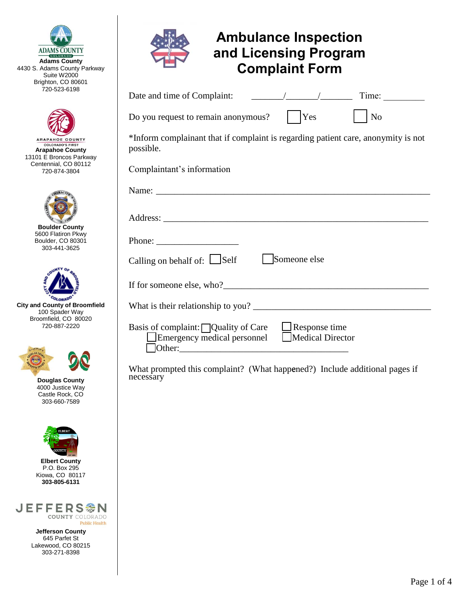

 $\overline{K}$ 

**Adams County**  4430 S. Adams County Parkway Suite W2000 Brighton, CO 80601 720-523-6198



ARAPAHOE COUNTY **COLORADO'S FIRST Arapahoe County**  13101 E Broncos Parkway Centennial, CO 80112 720-874-3804



**Boulder County**  5600 Flatiron Pkwy Boulder, CO 80301 303-441-3625



**City and County of Broomfield**  100 Spader Way Broomfield, CO 80020 720-887-2220



**Douglas County**  4000 Justice Way Castle Rock, CO 303-660-7589



**Elbert County**  P.O. Box 295 Kiowa, CO 80117 **303-805-6131**



**Jefferson County**  645 Parfet St Lakewood, CO 80215 303-271-8398

| <b>Ambulance Inspection</b><br>and Licensing Program<br><b>Complaint Form</b>                                                   |
|---------------------------------------------------------------------------------------------------------------------------------|
|                                                                                                                                 |
| Do you request to remain anonymous?       Yes<br>N <sub>o</sub>                                                                 |
| *Inform complainant that if complaint is regarding patient care, anonymity is not<br>possible.                                  |
| Complaintant's information                                                                                                      |
|                                                                                                                                 |
|                                                                                                                                 |
|                                                                                                                                 |
| Calling on behalf of: Self Someone else                                                                                         |
|                                                                                                                                 |
|                                                                                                                                 |
| Basis of complaint: $\Box$ Quality of Care<br>$\Box$ Response time<br>Medical Director<br>Emergency medical personnel<br>Other: |

What prompted this complaint? (What happened?) Include additional pages if necessary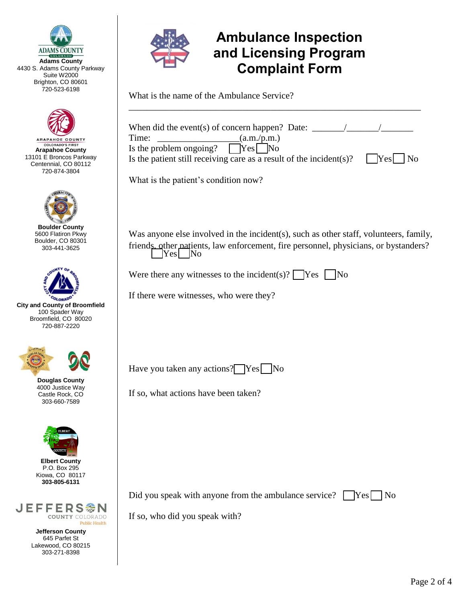

**Adams County**  4430 S. Adams County Parkway Suite W<sub>2000</sub> Brighton, CO 80601 720-523-6198



ARAPAHOE COUNTY **COLORADO'S FIRST Arapahoe County**  13101 E Broncos Parkway Centennial, CO 80112 720-874-3804



**Boulder County**  5600 Flatiron Pkwy Boulder, CO 80301 303-441-3625



**City and County of Broomfield**  100 Spader Way Broomfield, CO 80020 720-887-2220



**Douglas County**  4000 Justice Way Castle Rock, CO 303-660-7589



**Elbert County**  P.O. Box 295 Kiowa, CO 80117 **303-805-6131**



**Jefferson County**  645 Parfet St Lakewood, CO 80215 303-271-8398



## **Ambulance Inspection and Licensing Program Complaint Form**

What is the name of the Ambulance Service?

| When did the event(s) of concern happen? Date: $\frac{\ }{\ }$<br>Time:<br>(a.m./p.m.)<br>Is the problem ongoing?<br>$ Yes $ No<br>Is the patient still receiving care as a result of the incident(s)? $Yes$<br>$\overline{N}$ |
|--------------------------------------------------------------------------------------------------------------------------------------------------------------------------------------------------------------------------------|
| What is the patient's condition now?                                                                                                                                                                                           |
|                                                                                                                                                                                                                                |
| Was anyone else involved in the incident(s), such as other staff, volunteers, family,<br>friends other patients, law enforcement, fire personnel, physicians, or bystanders?<br>Yes No                                         |
| Were there any witnesses to the incident(s)? $\sqrt{\text{Yes}}$<br>$\overline{\rm No}$                                                                                                                                        |
| If there were witnesses, who were they?                                                                                                                                                                                        |
|                                                                                                                                                                                                                                |
|                                                                                                                                                                                                                                |
| Have you taken any actions? Yes No                                                                                                                                                                                             |
| If so, what actions have been taken?                                                                                                                                                                                           |
|                                                                                                                                                                                                                                |
|                                                                                                                                                                                                                                |
|                                                                                                                                                                                                                                |
|                                                                                                                                                                                                                                |

Did you speak with anyone from the ambulance service?  $\Box$  Yes  $\Box$  No

If so, who did you speak with?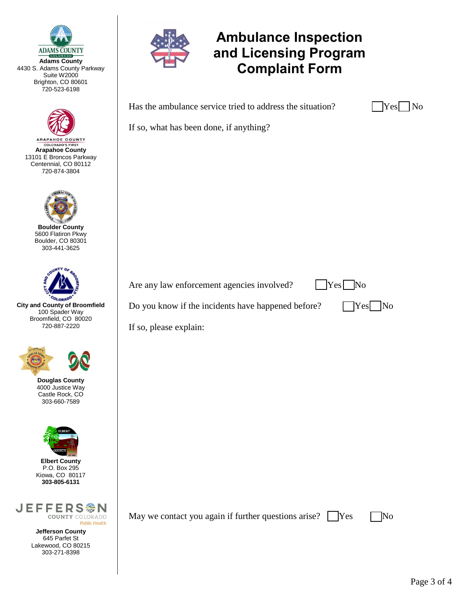

**Adams County**  4430 S. Adams County Parkway Suite W<sub>2000</sub> Brighton, CO 80601 720-523-6198



ARAPAHOE COUNTY *COLORADO'S FIRST*<br>**Arapahoe County** 13101 E Broncos Parkway Centennial, CO 80112 720-874-3804



**Boulder County**  5600 Flatiron Pkwy Boulder, CO 80301 303-441-3625



**City and County of Broomfield**  100 Spader Way Broomfield, CO 80020 720-887-2220



**Douglas County**  4000 Justice Way Castle Rock, CO 303-660-7589



**Elbert County**  P.O. Box 295 Kiowa, CO 80117 **303-805-6131**



**Jefferson County**  645 Parfet St Lakewood, CO 80215 303-271-8398



## **Ambulance Inspection and Licensing Program Complaint Form**

Has the ambulance service tried to address the situation?

| æ |  |
|---|--|
|   |  |

If so, what has been done, if anything?

Are any law enforcement agencies involved?  $|$   $|$  Yes  $|$  No

Do you know if the incidents have happened before?  $\Box$  Yes  $\Box$  No



If so, please explain:

May we contact you again if further questions arise?  $\Box$  Yes  $\Box$  No